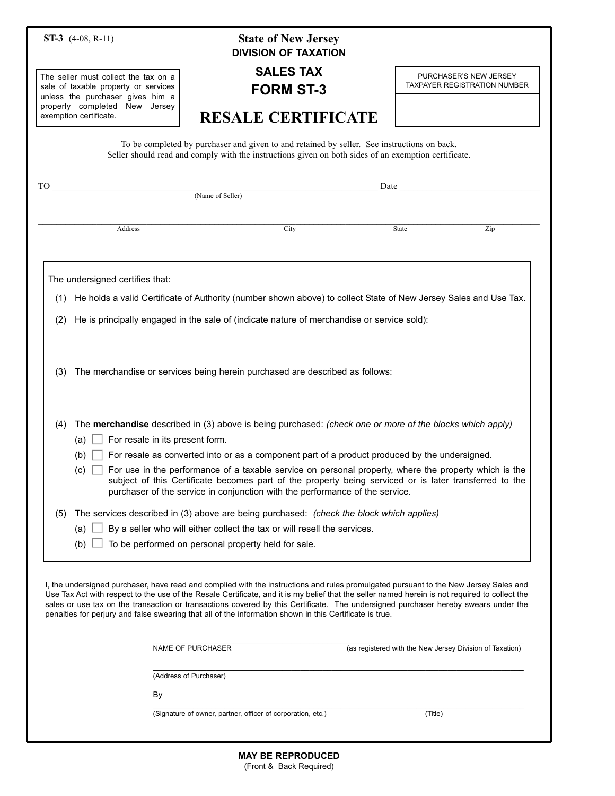| ST-3 $(4-08, R-11)$                                                                                                                                                                                                                                                                                    | <b>State of New Jersey</b><br><b>DIVISION OF TAXATION</b>                                                                                                                                                                                                                                                                                                                                                                                                                                                                                |                                                                                                                                                                                                                               |
|--------------------------------------------------------------------------------------------------------------------------------------------------------------------------------------------------------------------------------------------------------------------------------------------------------|------------------------------------------------------------------------------------------------------------------------------------------------------------------------------------------------------------------------------------------------------------------------------------------------------------------------------------------------------------------------------------------------------------------------------------------------------------------------------------------------------------------------------------------|-------------------------------------------------------------------------------------------------------------------------------------------------------------------------------------------------------------------------------|
| The seller must collect the tax on a<br>sale of taxable property or services<br>unless the purchaser gives him a<br>properly completed New Jersey<br>exemption certificate.                                                                                                                            | <b>SALES TAX</b><br><b>FORM ST-3</b>                                                                                                                                                                                                                                                                                                                                                                                                                                                                                                     | PURCHASER'S NEW JERSEY<br><b>TAXPAYER REGISTRATION NUMBER</b>                                                                                                                                                                 |
|                                                                                                                                                                                                                                                                                                        | <b>RESALE CERTIFICATE</b>                                                                                                                                                                                                                                                                                                                                                                                                                                                                                                                |                                                                                                                                                                                                                               |
| To be completed by purchaser and given to and retained by seller. See instructions on back.<br>Seller should read and comply with the instructions given on both sides of an exemption certificate.                                                                                                    |                                                                                                                                                                                                                                                                                                                                                                                                                                                                                                                                          |                                                                                                                                                                                                                               |
| TO -                                                                                                                                                                                                                                                                                                   | (Name of Seller)                                                                                                                                                                                                                                                                                                                                                                                                                                                                                                                         | Date and the same state of the state of the state of the state of the state of the state of the state of the state of the state of the state of the state of the state of the state of the state of the state of the state of |
|                                                                                                                                                                                                                                                                                                        |                                                                                                                                                                                                                                                                                                                                                                                                                                                                                                                                          |                                                                                                                                                                                                                               |
| Address                                                                                                                                                                                                                                                                                                | City                                                                                                                                                                                                                                                                                                                                                                                                                                                                                                                                     | State<br>Zip                                                                                                                                                                                                                  |
|                                                                                                                                                                                                                                                                                                        |                                                                                                                                                                                                                                                                                                                                                                                                                                                                                                                                          |                                                                                                                                                                                                                               |
| The undersigned certifies that:                                                                                                                                                                                                                                                                        |                                                                                                                                                                                                                                                                                                                                                                                                                                                                                                                                          |                                                                                                                                                                                                                               |
|                                                                                                                                                                                                                                                                                                        | (1) He holds a valid Certificate of Authority (number shown above) to collect State of New Jersey Sales and Use Tax.                                                                                                                                                                                                                                                                                                                                                                                                                     |                                                                                                                                                                                                                               |
| He is principally engaged in the sale of (indicate nature of merchandise or service sold):<br>(2)                                                                                                                                                                                                      |                                                                                                                                                                                                                                                                                                                                                                                                                                                                                                                                          |                                                                                                                                                                                                                               |
|                                                                                                                                                                                                                                                                                                        |                                                                                                                                                                                                                                                                                                                                                                                                                                                                                                                                          |                                                                                                                                                                                                                               |
| The merchandise or services being herein purchased are described as follows:<br>(3)<br>The merchandise described in (3) above is being purchased: (check one or more of the blocks which apply)<br>(4)                                                                                                 |                                                                                                                                                                                                                                                                                                                                                                                                                                                                                                                                          |                                                                                                                                                                                                                               |
| For resale in its present form.<br>(a) <u>∣</u>                                                                                                                                                                                                                                                        |                                                                                                                                                                                                                                                                                                                                                                                                                                                                                                                                          |                                                                                                                                                                                                                               |
| For resale as converted into or as a component part of a product produced by the undersigned.<br>(b)                                                                                                                                                                                                   |                                                                                                                                                                                                                                                                                                                                                                                                                                                                                                                                          |                                                                                                                                                                                                                               |
| For use in the performance of a taxable service on personal property, where the property which is the<br>(c)<br>subject of this Certificate becomes part of the property being serviced or is later transferred to the<br>purchaser of the service in conjunction with the performance of the service. |                                                                                                                                                                                                                                                                                                                                                                                                                                                                                                                                          |                                                                                                                                                                                                                               |
| The services described in (3) above are being purchased: (check the block which applies)<br>(5)                                                                                                                                                                                                        |                                                                                                                                                                                                                                                                                                                                                                                                                                                                                                                                          |                                                                                                                                                                                                                               |
| By a seller who will either collect the tax or will resell the services.<br>(a)                                                                                                                                                                                                                        |                                                                                                                                                                                                                                                                                                                                                                                                                                                                                                                                          |                                                                                                                                                                                                                               |
| To be performed on personal property held for sale.<br>(b)                                                                                                                                                                                                                                             |                                                                                                                                                                                                                                                                                                                                                                                                                                                                                                                                          |                                                                                                                                                                                                                               |
|                                                                                                                                                                                                                                                                                                        | I, the undersigned purchaser, have read and complied with the instructions and rules promulgated pursuant to the New Jersey Sales and<br>Use Tax Act with respect to the use of the Resale Certificate, and it is my belief that the seller named herein is not required to collect the<br>sales or use tax on the transaction or transactions covered by this Certificate. The undersigned purchaser hereby swears under the<br>penalties for perjury and false swearing that all of the information shown in this Certificate is true. |                                                                                                                                                                                                                               |
|                                                                                                                                                                                                                                                                                                        | NAME OF PURCHASER                                                                                                                                                                                                                                                                                                                                                                                                                                                                                                                        | (as registered with the New Jersey Division of Taxation)                                                                                                                                                                      |
|                                                                                                                                                                                                                                                                                                        | (Address of Purchaser)                                                                                                                                                                                                                                                                                                                                                                                                                                                                                                                   |                                                                                                                                                                                                                               |
| By                                                                                                                                                                                                                                                                                                     |                                                                                                                                                                                                                                                                                                                                                                                                                                                                                                                                          |                                                                                                                                                                                                                               |
| (Signature of owner, partner, officer of corporation, etc.)<br>(Title)                                                                                                                                                                                                                                 |                                                                                                                                                                                                                                                                                                                                                                                                                                                                                                                                          |                                                                                                                                                                                                                               |
|                                                                                                                                                                                                                                                                                                        |                                                                                                                                                                                                                                                                                                                                                                                                                                                                                                                                          |                                                                                                                                                                                                                               |